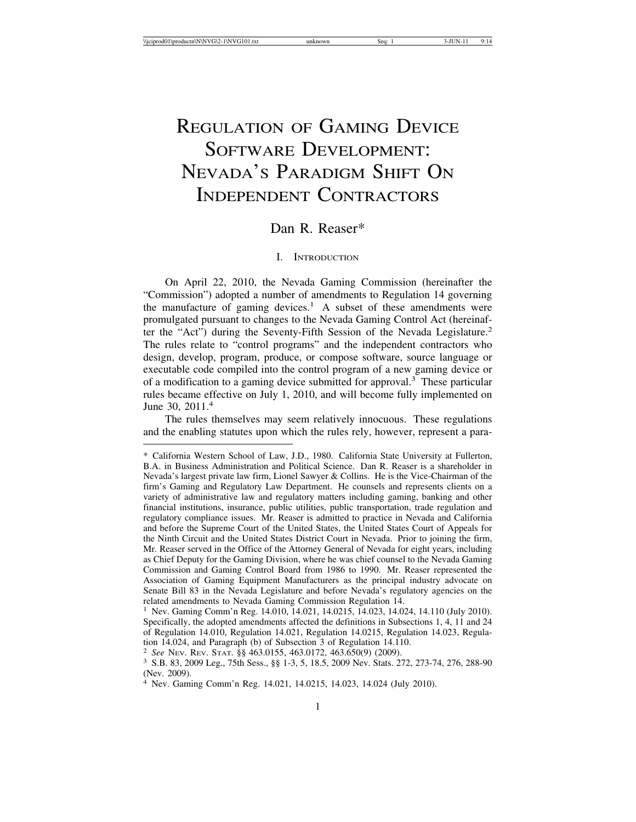# REGULATION OF GAMING DEVICE SOFTWARE DEVELOPMENT: NEVADA'S PARADIGM SHIFT ON INDEPENDENT CONTRACTORS

# Dan R. Reaser\*

## I. INTRODUCTION

On April 22, 2010, the Nevada Gaming Commission (hereinafter the "Commission") adopted a number of amendments to Regulation 14 governing the manufacture of gaming devices.<sup>1</sup> A subset of these amendments were promulgated pursuant to changes to the Nevada Gaming Control Act (hereinafter the "Act") during the Seventy-Fifth Session of the Nevada Legislature.<sup>2</sup> The rules relate to "control programs" and the independent contractors who design, develop, program, produce, or compose software, source language or executable code compiled into the control program of a new gaming device or of a modification to a gaming device submitted for approval.<sup>3</sup> These particular rules became effective on July 1, 2010, and will become fully implemented on June 30, 2011.<sup>4</sup>

The rules themselves may seem relatively innocuous. These regulations and the enabling statutes upon which the rules rely, however, represent a para-

<sup>\*</sup> California Western School of Law, J.D., 1980. California State University at Fullerton, B.A. in Business Administration and Political Science. Dan R. Reaser is a shareholder in Nevada's largest private law firm, Lionel Sawyer & Collins. He is the Vice-Chairman of the firm's Gaming and Regulatory Law Department. He counsels and represents clients on a variety of administrative law and regulatory matters including gaming, banking and other financial institutions, insurance, public utilities, public transportation, trade regulation and regulatory compliance issues. Mr. Reaser is admitted to practice in Nevada and California and before the Supreme Court of the United States, the United States Court of Appeals for the Ninth Circuit and the United States District Court in Nevada. Prior to joining the firm, Mr. Reaser served in the Office of the Attorney General of Nevada for eight years, including as Chief Deputy for the Gaming Division, where he was chief counsel to the Nevada Gaming Commission and Gaming Control Board from 1986 to 1990. Mr. Reaser represented the Association of Gaming Equipment Manufacturers as the principal industry advocate on Senate Bill 83 in the Nevada Legislature and before Nevada's regulatory agencies on the related amendments to Nevada Gaming Commission Regulation 14.

<sup>1</sup> Nev. Gaming Comm'n Reg. 14.010, 14.021, 14.0215, 14.023, 14.024, 14.110 (July 2010). Specifically, the adopted amendments affected the definitions in Subsections 1, 4, 11 and 24 of Regulation 14.010, Regulation 14.021, Regulation 14.0215, Regulation 14.023, Regulation 14.024, and Paragraph (b) of Subsection 3 of Regulation 14.110.

<sup>2</sup> *See* NEV. REV. STAT. §§ 463.0155, 463.0172, 463.650(9) (2009). <sup>3</sup> S.B. 83, 2009 Leg., 75th Sess., §§ 1-3, 5, 18.5, 2009 Nev. Stats. 272, 273-74, 276, 288-90 (Nev. 2009).

<sup>4</sup> Nev. Gaming Comm'n Reg. 14.021, 14.0215, 14.023, 14.024 (July 2010).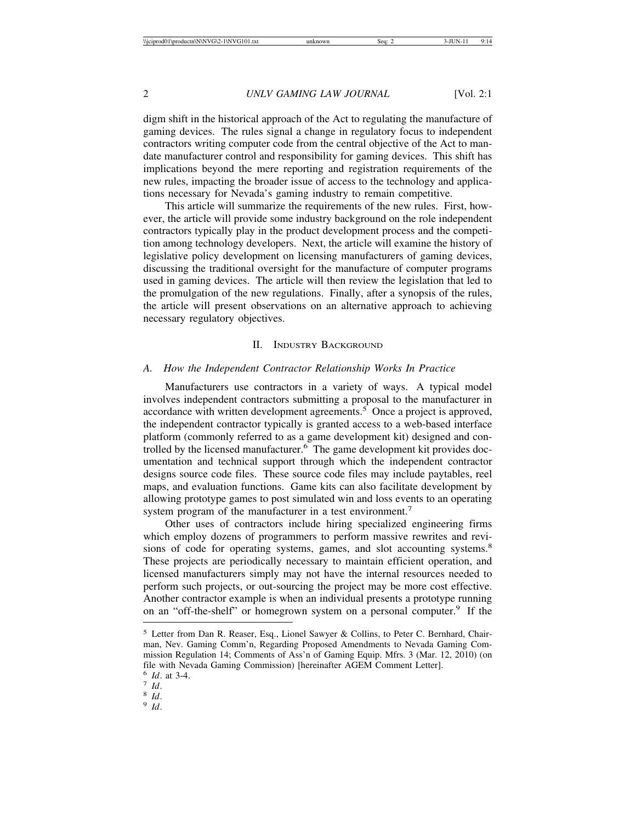digm shift in the historical approach of the Act to regulating the manufacture of gaming devices. The rules signal a change in regulatory focus to independent contractors writing computer code from the central objective of the Act to mandate manufacturer control and responsibility for gaming devices. This shift has implications beyond the mere reporting and registration requirements of the new rules, impacting the broader issue of access to the technology and applications necessary for Nevada's gaming industry to remain competitive.

This article will summarize the requirements of the new rules. First, however, the article will provide some industry background on the role independent contractors typically play in the product development process and the competition among technology developers. Next, the article will examine the history of legislative policy development on licensing manufacturers of gaming devices, discussing the traditional oversight for the manufacture of computer programs used in gaming devices. The article will then review the legislation that led to the promulgation of the new regulations. Finally, after a synopsis of the rules, the article will present observations on an alternative approach to achieving necessary regulatory objectives.

# II. INDUSTRY BACKGROUND

# *A. How the Independent Contractor Relationship Works In Practice*

Manufacturers use contractors in a variety of ways. A typical model involves independent contractors submitting a proposal to the manufacturer in accordance with written development agreements.<sup>5</sup> Once a project is approved, the independent contractor typically is granted access to a web-based interface platform (commonly referred to as a game development kit) designed and controlled by the licensed manufacturer.<sup>6</sup> The game development kit provides documentation and technical support through which the independent contractor designs source code files. These source code files may include paytables, reel maps, and evaluation functions. Game kits can also facilitate development by allowing prototype games to post simulated win and loss events to an operating system program of the manufacturer in a test environment.<sup>7</sup>

Other uses of contractors include hiring specialized engineering firms which employ dozens of programmers to perform massive rewrites and revisions of code for operating systems, games, and slot accounting systems.<sup>8</sup> These projects are periodically necessary to maintain efficient operation, and licensed manufacturers simply may not have the internal resources needed to perform such projects, or out-sourcing the project may be more cost effective. Another contractor example is when an individual presents a prototype running on an "off-the-shelf" or homegrown system on a personal computer.<sup>9</sup> If the

<sup>5</sup> Letter from Dan R. Reaser, Esq., Lionel Sawyer & Collins, to Peter C. Bernhard, Chairman, Nev. Gaming Comm'n, Regarding Proposed Amendments to Nevada Gaming Commission Regulation 14; Comments of Ass'n of Gaming Equip. Mfrs. 3 (Mar. 12, 2010) (on file with Nevada Gaming Commission) [hereinafter AGEM Comment Letter].

<sup>6</sup> *Id*. at 3-4. <sup>7</sup> *Id*. <sup>8</sup> *Id*. <sup>9</sup> *Id*.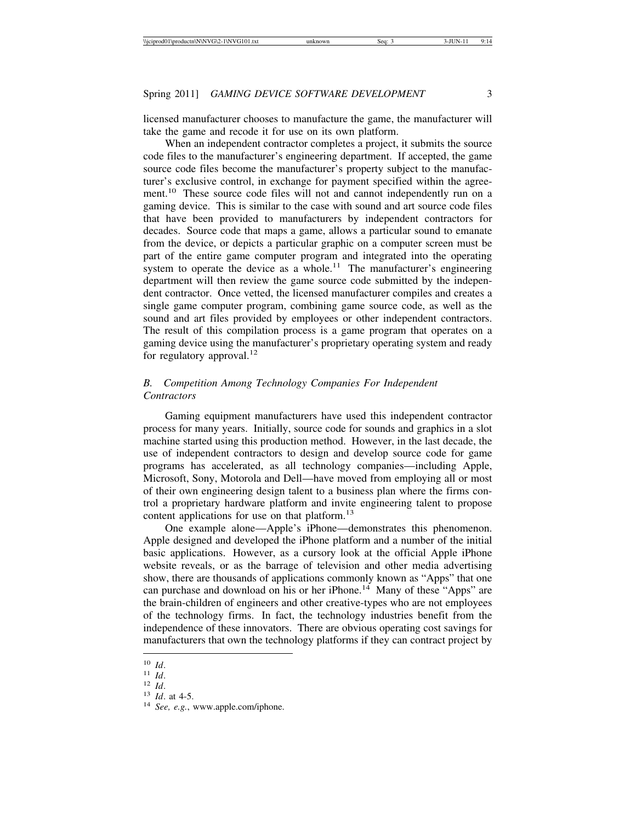licensed manufacturer chooses to manufacture the game, the manufacturer will take the game and recode it for use on its own platform.

When an independent contractor completes a project, it submits the source code files to the manufacturer's engineering department. If accepted, the game source code files become the manufacturer's property subject to the manufacturer's exclusive control, in exchange for payment specified within the agreement.<sup>10</sup> These source code files will not and cannot independently run on a gaming device. This is similar to the case with sound and art source code files that have been provided to manufacturers by independent contractors for decades. Source code that maps a game, allows a particular sound to emanate from the device, or depicts a particular graphic on a computer screen must be part of the entire game computer program and integrated into the operating system to operate the device as a whole.<sup>11</sup> The manufacturer's engineering department will then review the game source code submitted by the independent contractor. Once vetted, the licensed manufacturer compiles and creates a single game computer program, combining game source code, as well as the sound and art files provided by employees or other independent contractors. The result of this compilation process is a game program that operates on a gaming device using the manufacturer's proprietary operating system and ready for regulatory approval.<sup>12</sup>

# *B. Competition Among Technology Companies For Independent Contractors*

Gaming equipment manufacturers have used this independent contractor process for many years. Initially, source code for sounds and graphics in a slot machine started using this production method. However, in the last decade, the use of independent contractors to design and develop source code for game programs has accelerated, as all technology companies—including Apple, Microsoft, Sony, Motorola and Dell—have moved from employing all or most of their own engineering design talent to a business plan where the firms control a proprietary hardware platform and invite engineering talent to propose content applications for use on that platform.<sup>13</sup>

One example alone—Apple's iPhone—demonstrates this phenomenon. Apple designed and developed the iPhone platform and a number of the initial basic applications. However, as a cursory look at the official Apple iPhone website reveals, or as the barrage of television and other media advertising show, there are thousands of applications commonly known as "Apps" that one can purchase and download on his or her iPhone.<sup>14</sup> Many of these "Apps" are the brain-children of engineers and other creative-types who are not employees of the technology firms. In fact, the technology industries benefit from the independence of these innovators. There are obvious operating cost savings for manufacturers that own the technology platforms if they can contract project by

<sup>10</sup> *Id.*<br><sup>11</sup> *Id.*<br><sup>12</sup> *Id.* at 4-5.<br><sup>14</sup> *See, e.g.*, www.apple.com/iphone.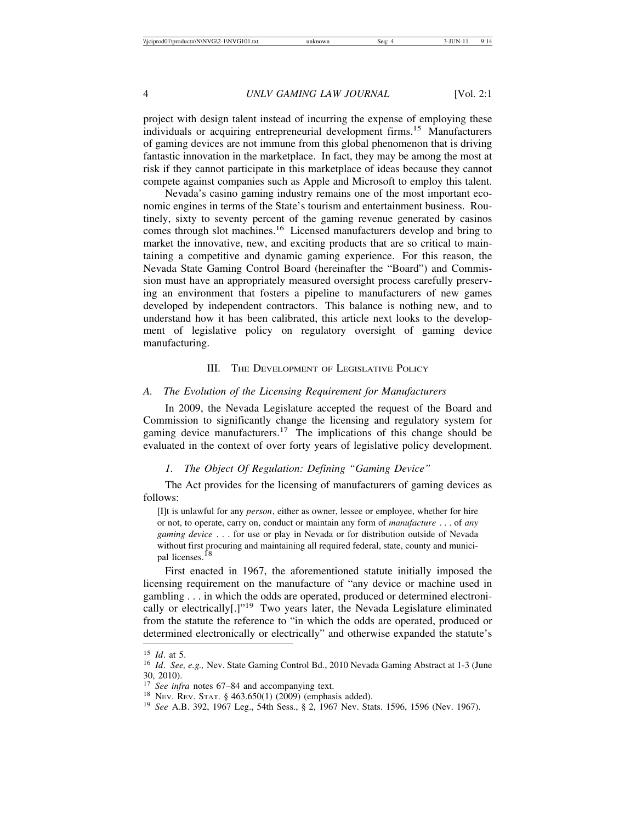project with design talent instead of incurring the expense of employing these individuals or acquiring entrepreneurial development firms.<sup>15</sup> Manufacturers of gaming devices are not immune from this global phenomenon that is driving fantastic innovation in the marketplace. In fact, they may be among the most at risk if they cannot participate in this marketplace of ideas because they cannot compete against companies such as Apple and Microsoft to employ this talent.

Nevada's casino gaming industry remains one of the most important economic engines in terms of the State's tourism and entertainment business. Routinely, sixty to seventy percent of the gaming revenue generated by casinos comes through slot machines.16 Licensed manufacturers develop and bring to market the innovative, new, and exciting products that are so critical to maintaining a competitive and dynamic gaming experience. For this reason, the Nevada State Gaming Control Board (hereinafter the "Board") and Commission must have an appropriately measured oversight process carefully preserving an environment that fosters a pipeline to manufacturers of new games developed by independent contractors. This balance is nothing new, and to understand how it has been calibrated, this article next looks to the development of legislative policy on regulatory oversight of gaming device manufacturing.

#### III. THE DEVELOPMENT OF LEGISLATIVE POLICY

#### *A. The Evolution of the Licensing Requirement for Manufacturers*

In 2009, the Nevada Legislature accepted the request of the Board and Commission to significantly change the licensing and regulatory system for gaming device manufacturers.<sup>17</sup> The implications of this change should be evaluated in the context of over forty years of legislative policy development.

## *1. The Object Of Regulation: Defining "Gaming Device"*

The Act provides for the licensing of manufacturers of gaming devices as follows:

[I]t is unlawful for any *person*, either as owner, lessee or employee, whether for hire or not, to operate, carry on, conduct or maintain any form of *manufacture* . . . of *any gaming device* . . . for use or play in Nevada or for distribution outside of Nevada without first procuring and maintaining all required federal, state, county and municipal licenses.18

First enacted in 1967, the aforementioned statute initially imposed the licensing requirement on the manufacture of "any device or machine used in gambling . . . in which the odds are operated, produced or determined electronically or electrically[.]"19 Two years later, the Nevada Legislature eliminated from the statute the reference to "in which the odds are operated, produced or determined electronically or electrically" and otherwise expanded the statute's

<sup>&</sup>lt;sup>15</sup> *Id.* at 5.<br><sup>16</sup> *Id. See, e.g.,* Nev. State Gaming Control Bd., 2010 Nevada Gaming Abstract at 1-3 (June 30, 2010).<br> $17$  See infra notes 67–84 and accompanying text.

<sup>&</sup>lt;sup>18</sup> Nev. Rev. Stat. § 463.650(1) (2009) (emphasis added). <sup>19</sup> See A.B. 392, 1967 Leg., 54th Sess., § 2, 1967 Nev. Stats. 1596, 1596 (Nev. 1967).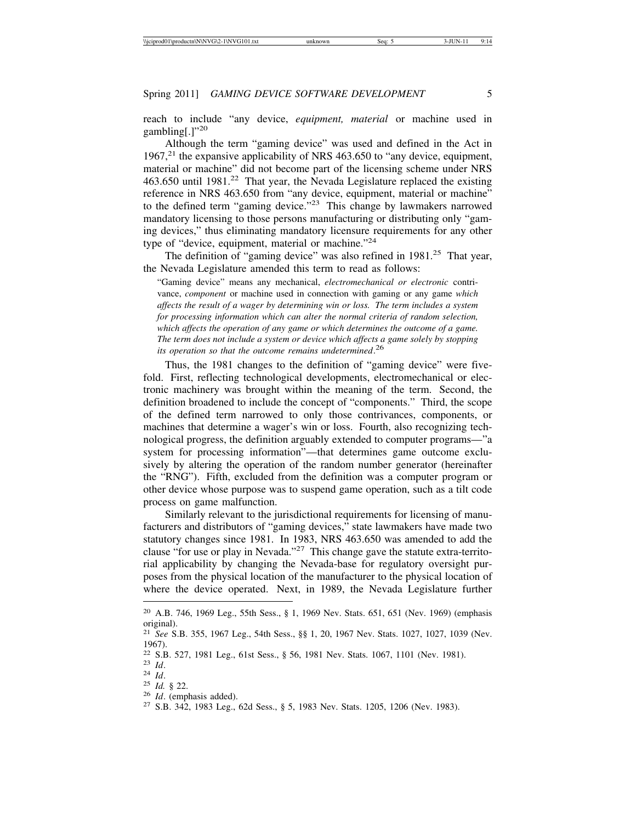reach to include "any device, *equipment, material* or machine used in gambling[.]"<sup>20</sup>

Although the term "gaming device" was used and defined in the Act in  $1967<sup>21</sup>$  the expansive applicability of NRS 463.650 to "any device, equipment, material or machine" did not become part of the licensing scheme under NRS 463.650 until  $1981<sup>22</sup>$  That year, the Nevada Legislature replaced the existing reference in NRS 463.650 from "any device, equipment, material or machine" to the defined term "gaming device."23 This change by lawmakers narrowed mandatory licensing to those persons manufacturing or distributing only "gaming devices," thus eliminating mandatory licensure requirements for any other type of "device, equipment, material or machine."<sup>24</sup>

The definition of "gaming device" was also refined in  $1981<sup>25</sup>$  That year, the Nevada Legislature amended this term to read as follows:

"Gaming device" means any mechanical, *electromechanical or electronic* contrivance, *component* or machine used in connection with gaming or any game *which affects the result of a wager by determining win or loss. The term includes a system for processing information which can alter the normal criteria of random selection, which affects the operation of any game or which determines the outcome of a game. The term does not include a system or device which affects a game solely by stopping its operation so that the outcome remains undetermined*. 26

Thus, the 1981 changes to the definition of "gaming device" were fivefold. First, reflecting technological developments, electromechanical or electronic machinery was brought within the meaning of the term. Second, the definition broadened to include the concept of "components." Third, the scope of the defined term narrowed to only those contrivances, components, or machines that determine a wager's win or loss. Fourth, also recognizing technological progress, the definition arguably extended to computer programs—"a system for processing information"—that determines game outcome exclusively by altering the operation of the random number generator (hereinafter the "RNG"). Fifth, excluded from the definition was a computer program or other device whose purpose was to suspend game operation, such as a tilt code process on game malfunction.

Similarly relevant to the jurisdictional requirements for licensing of manufacturers and distributors of "gaming devices," state lawmakers have made two statutory changes since 1981. In 1983, NRS 463.650 was amended to add the clause "for use or play in Nevada."<sup>27</sup> This change gave the statute extra-territorial applicability by changing the Nevada-base for regulatory oversight purposes from the physical location of the manufacturer to the physical location of where the device operated. Next, in 1989, the Nevada Legislature further

<sup>20</sup> A.B. 746, 1969 Leg., 55th Sess., § 1, 1969 Nev. Stats. 651, 651 (Nev. 1969) (emphasis original).

<sup>21</sup> *See* S.B. 355, 1967 Leg., 54th Sess., §§ 1, 20, 1967 Nev. Stats. 1027, 1027, 1039 (Nev. 1967).

<sup>&</sup>lt;sup>22</sup> S.B. 527, 1981 Leg., 61st Sess., § 56, 1981 Nev. Stats. 1067, 1101 (Nev. 1981).<br><sup>23</sup> Id. <sup>24</sup> Id. § 22.<br><sup>25</sup> Id. § 22.<br><sup>26</sup> Id. (emphasis added).<br><sup>27</sup> S.B. 342, 1983 Leg., 62d Sess., § 5, 1983 Nev. Stats. 1205, 1206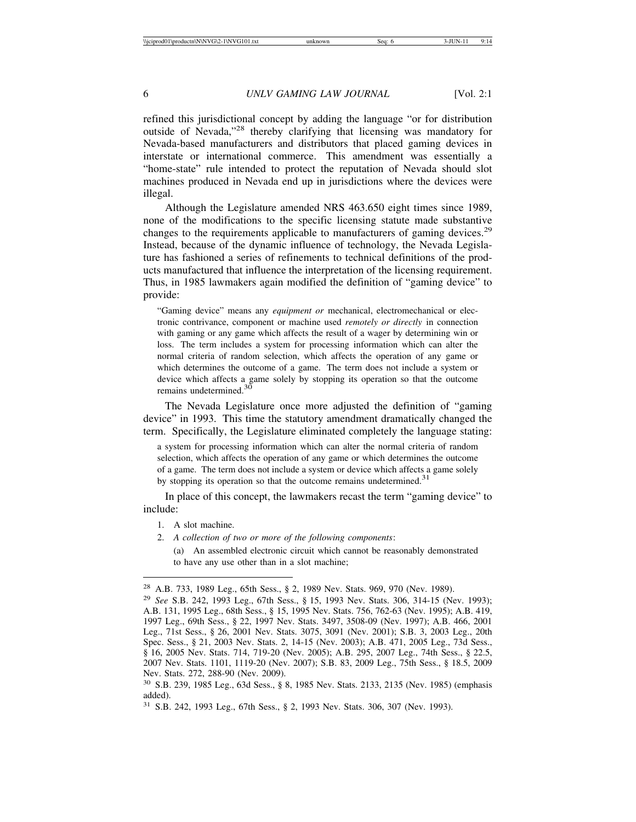refined this jurisdictional concept by adding the language "or for distribution outside of Nevada,"28 thereby clarifying that licensing was mandatory for Nevada-based manufacturers and distributors that placed gaming devices in interstate or international commerce. This amendment was essentially a "home-state" rule intended to protect the reputation of Nevada should slot machines produced in Nevada end up in jurisdictions where the devices were illegal.

Although the Legislature amended NRS 463.650 eight times since 1989, none of the modifications to the specific licensing statute made substantive changes to the requirements applicable to manufacturers of gaming devices.<sup>29</sup> Instead, because of the dynamic influence of technology, the Nevada Legislature has fashioned a series of refinements to technical definitions of the products manufactured that influence the interpretation of the licensing requirement. Thus, in 1985 lawmakers again modified the definition of "gaming device" to provide:

"Gaming device" means any *equipment or* mechanical, electromechanical or electronic contrivance, component or machine used *remotely or directly* in connection with gaming or any game which affects the result of a wager by determining win or loss. The term includes a system for processing information which can alter the normal criteria of random selection, which affects the operation of any game or which determines the outcome of a game. The term does not include a system or device which affects a game solely by stopping its operation so that the outcome remains undetermined.<sup>30</sup>

The Nevada Legislature once more adjusted the definition of "gaming device" in 1993. This time the statutory amendment dramatically changed the term. Specifically, the Legislature eliminated completely the language stating:

a system for processing information which can alter the normal criteria of random selection, which affects the operation of any game or which determines the outcome of a game. The term does not include a system or device which affects a game solely by stopping its operation so that the outcome remains undetermined.<sup>31</sup>

In place of this concept, the lawmakers recast the term "gaming device" to include:

- 1. A slot machine.
- 2. *A collection of two or more of the following components*:
	- (a) An assembled electronic circuit which cannot be reasonably demonstrated to have any use other than in a slot machine;

<sup>28</sup> A.B. 733, 1989 Leg., 65th Sess., § 2, 1989 Nev. Stats. 969, 970 (Nev. 1989).

<sup>29</sup> *See* S.B. 242, 1993 Leg., 67th Sess., § 15, 1993 Nev. Stats. 306, 314-15 (Nev. 1993); A.B. 131, 1995 Leg., 68th Sess., § 15, 1995 Nev. Stats. 756, 762-63 (Nev. 1995); A.B. 419, 1997 Leg., 69th Sess., § 22, 1997 Nev. Stats. 3497, 3508-09 (Nev. 1997); A.B. 466, 2001 Leg., 71st Sess., § 26, 2001 Nev. Stats. 3075, 3091 (Nev. 2001); S.B. 3, 2003 Leg., 20th Spec. Sess., § 21, 2003 Nev. Stats. 2, 14-15 (Nev. 2003); A.B. 471, 2005 Leg., 73d Sess., § 16, 2005 Nev. Stats. 714, 719-20 (Nev. 2005); A.B. 295, 2007 Leg., 74th Sess., § 22.5, 2007 Nev. Stats. 1101, 1119-20 (Nev. 2007); S.B. 83, 2009 Leg., 75th Sess., § 18.5, 2009 Nev. Stats. 272, 288-90 (Nev. 2009).

<sup>30</sup> S.B. 239, 1985 Leg., 63d Sess., § 8, 1985 Nev. Stats. 2133, 2135 (Nev. 1985) (emphasis added).

<sup>31</sup> S.B. 242, 1993 Leg., 67th Sess., § 2, 1993 Nev. Stats. 306, 307 (Nev. 1993).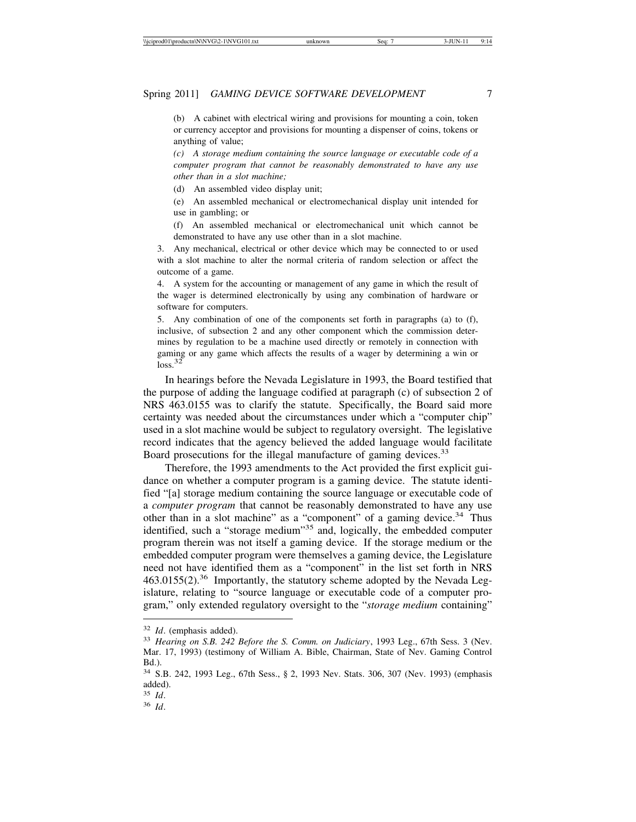(b) A cabinet with electrical wiring and provisions for mounting a coin, token or currency acceptor and provisions for mounting a dispenser of coins, tokens or anything of value;

*(c) A storage medium containing the source language or executable code of a computer program that cannot be reasonably demonstrated to have any use other than in a slot machine;*

(d) An assembled video display unit;

(e) An assembled mechanical or electromechanical display unit intended for use in gambling; or

(f) An assembled mechanical or electromechanical unit which cannot be demonstrated to have any use other than in a slot machine.

3. Any mechanical, electrical or other device which may be connected to or used with a slot machine to alter the normal criteria of random selection or affect the outcome of a game.

4. A system for the accounting or management of any game in which the result of the wager is determined electronically by using any combination of hardware or software for computers.

5. Any combination of one of the components set forth in paragraphs (a) to (f), inclusive, of subsection 2 and any other component which the commission determines by regulation to be a machine used directly or remotely in connection with gaming or any game which affects the results of a wager by determining a win or  $loss.<sup>32</sup>$ 

In hearings before the Nevada Legislature in 1993, the Board testified that the purpose of adding the language codified at paragraph (c) of subsection 2 of NRS 463.0155 was to clarify the statute. Specifically, the Board said more certainty was needed about the circumstances under which a "computer chip" used in a slot machine would be subject to regulatory oversight. The legislative record indicates that the agency believed the added language would facilitate Board prosecutions for the illegal manufacture of gaming devices.<sup>33</sup>

Therefore, the 1993 amendments to the Act provided the first explicit guidance on whether a computer program is a gaming device. The statute identified "[a] storage medium containing the source language or executable code of a *computer program* that cannot be reasonably demonstrated to have any use other than in a slot machine" as a "component" of a gaming device. $34$  Thus identified, such a "storage medium"<sup>35</sup> and, logically, the embedded computer program therein was not itself a gaming device. If the storage medium or the embedded computer program were themselves a gaming device, the Legislature need not have identified them as a "component" in the list set forth in NRS 463.0155(2).<sup>36</sup> Importantly, the statutory scheme adopted by the Nevada Legislature, relating to "source language or executable code of a computer program," only extended regulatory oversight to the "*storage medium* containing"

<sup>32</sup> *Id*. (emphasis added).

<sup>33</sup> *Hearing on S.B. 242 Before the S. Comm. on Judiciary*, 1993 Leg., 67th Sess. 3 (Nev. Mar. 17, 1993) (testimony of William A. Bible, Chairman, State of Nev. Gaming Control Bd.).

<sup>34</sup> S.B. 242, 1993 Leg., 67th Sess., § 2, 1993 Nev. Stats. 306, 307 (Nev. 1993) (emphasis added).

<sup>35</sup> *Id*.

<sup>36</sup> *Id*.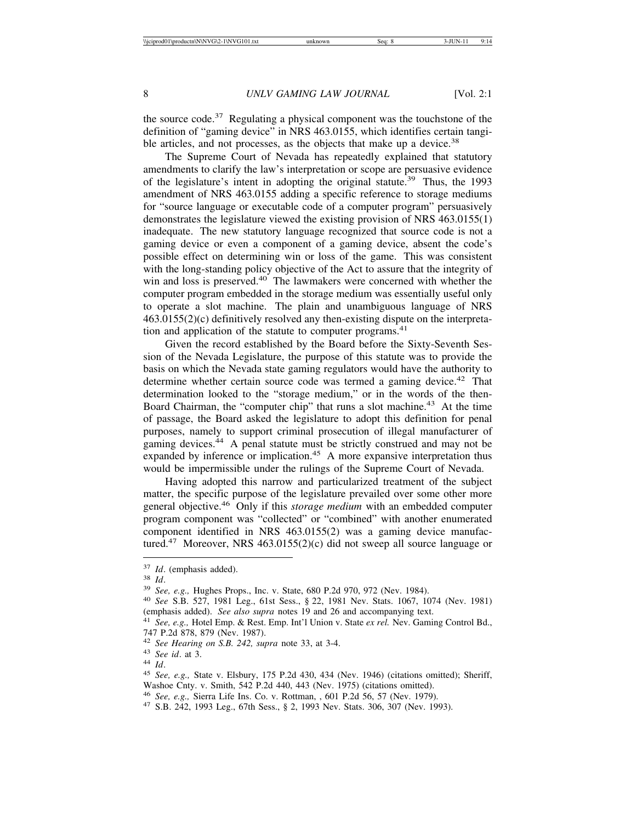the source code. $37$  Regulating a physical component was the touchstone of the definition of "gaming device" in NRS 463.0155, which identifies certain tangible articles, and not processes, as the objects that make up a device.<sup>38</sup>

The Supreme Court of Nevada has repeatedly explained that statutory amendments to clarify the law's interpretation or scope are persuasive evidence of the legislature's intent in adopting the original statute.<sup>39</sup> Thus, the 1993 amendment of NRS 463.0155 adding a specific reference to storage mediums for "source language or executable code of a computer program" persuasively demonstrates the legislature viewed the existing provision of NRS 463.0155(1) inadequate. The new statutory language recognized that source code is not a gaming device or even a component of a gaming device, absent the code's possible effect on determining win or loss of the game. This was consistent with the long-standing policy objective of the Act to assure that the integrity of win and loss is preserved.<sup>40</sup> The lawmakers were concerned with whether the computer program embedded in the storage medium was essentially useful only to operate a slot machine. The plain and unambiguous language of NRS 463.0155(2)(c) definitively resolved any then-existing dispute on the interpretation and application of the statute to computer programs.<sup>41</sup>

Given the record established by the Board before the Sixty-Seventh Session of the Nevada Legislature, the purpose of this statute was to provide the basis on which the Nevada state gaming regulators would have the authority to determine whether certain source code was termed a gaming device.<sup>42</sup> That determination looked to the "storage medium," or in the words of the then-Board Chairman, the "computer chip" that runs a slot machine.<sup>43</sup> At the time of passage, the Board asked the legislature to adopt this definition for penal purposes, namely to support criminal prosecution of illegal manufacturer of gaming devices.<sup>44</sup> A penal statute must be strictly construed and may not be expanded by inference or implication.<sup>45</sup> A more expansive interpretation thus would be impermissible under the rulings of the Supreme Court of Nevada.

Having adopted this narrow and particularized treatment of the subject matter, the specific purpose of the legislature prevailed over some other more general objective.46 Only if this *storage medium* with an embedded computer program component was "collected" or "combined" with another enumerated component identified in NRS 463.0155(2) was a gaming device manufactured.47 Moreover, NRS 463.0155(2)(c) did not sweep all source language or

<sup>&</sup>lt;sup>37</sup> *Id.* (emphasis added).<br><sup>38</sup> *Id.* 39 *See, e.g.*, *Hughes Props., Inc. v. State, 680 P.2d 970, 972 (Nev. 1984).*<br><sup>40</sup> *See S.B. 527, 1981 Leg., 61st Sess., § 22, 1981 Nev. Stats. 1067, 1074 (Nev. 1981)*<br>(emphasis add

<sup>&</sup>lt;sup>41</sup> See, e.g., Hotel Emp. & Rest. Emp. Int'l Union v. State ex rel. Nev. Gaming Control Bd., 747 P.2d 878, 879 (Nev. 1987).<br><sup>42</sup> See Hearing on S.B. 242, supra note 33, at 3-4.

<sup>43</sup> *See id.* at 3.<br><sup>44</sup> *Id.* 45 *See, e.g.*, State v. Elsbury, 175 P.2d 430, 434 (Nev. 1946) (citations omitted); Sheriff,

Washoe Cnty. v. Smith, 542 P.2d 440, 443 (Nev. 1975) (citations omitted).<br><sup>46</sup> See, e.g., Sierra Life Ins. Co. v. Rottman, , 601 P.2d 56, 57 (Nev. 1979).

<sup>&</sup>lt;sup>47</sup> S.B. 242, 1993 Leg., 67th Sess., § 2, 1993 Nev. Stats. 306, 307 (Nev. 1993).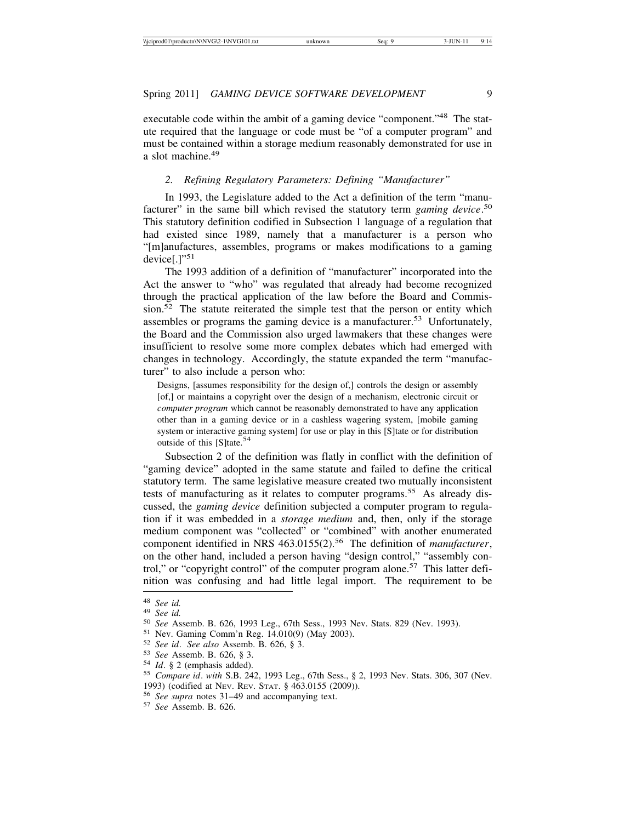executable code within the ambit of a gaming device "component."<sup>48</sup> The statute required that the language or code must be "of a computer program" and must be contained within a storage medium reasonably demonstrated for use in a slot machine.<sup>49</sup>

## *2. Refining Regulatory Parameters: Defining "Manufacturer"*

In 1993, the Legislature added to the Act a definition of the term "manufacturer" in the same bill which revised the statutory term *gaming device*. 50 This statutory definition codified in Subsection 1 language of a regulation that had existed since 1989, namely that a manufacturer is a person who "[m]anufactures, assembles, programs or makes modifications to a gaming device[.]"<sup>51</sup>

The 1993 addition of a definition of "manufacturer" incorporated into the Act the answer to "who" was regulated that already had become recognized through the practical application of the law before the Board and Commission.52 The statute reiterated the simple test that the person or entity which assembles or programs the gaming device is a manufacturer.53 Unfortunately, the Board and the Commission also urged lawmakers that these changes were insufficient to resolve some more complex debates which had emerged with changes in technology. Accordingly, the statute expanded the term "manufacturer" to also include a person who:

Designs, [assumes responsibility for the design of,] controls the design or assembly [of,] or maintains a copyright over the design of a mechanism, electronic circuit or *computer program* which cannot be reasonably demonstrated to have any application other than in a gaming device or in a cashless wagering system, [mobile gaming system or interactive gaming system] for use or play in this [S]tate or for distribution outside of this [S]tate.<sup>54</sup>

Subsection 2 of the definition was flatly in conflict with the definition of "gaming device" adopted in the same statute and failed to define the critical statutory term. The same legislative measure created two mutually inconsistent tests of manufacturing as it relates to computer programs.<sup>55</sup> As already discussed, the *gaming device* definition subjected a computer program to regulation if it was embedded in a *storage medium* and, then, only if the storage medium component was "collected" or "combined" with another enumerated component identified in NRS 463.0155(2).<sup>56</sup> The definition of *manufacturer*, on the other hand, included a person having "design control," "assembly control," or "copyright control" of the computer program alone.<sup>57</sup> This latter definition was confusing and had little legal import. The requirement to be

<sup>&</sup>lt;sup>48</sup> See id.<br><sup>49</sup> See id.<br><sup>50</sup> See Assemb. B. 626, 1993 Leg., 67th Sess., 1993 Nev. Stats. 829 (Nev. 1993).<br><sup>51</sup> Nev. Gaming Comm'n Reg. 14.010(9) (May 2003).<br><sup>52</sup> See id. See also Assemb. B. 626, § 3.<br><sup>53</sup> See Assemb. B.

<sup>1993) (</sup>codified at NEV. REV. STAT. § 463.0155 (2009)). <sup>56</sup> *See supra* notes 31–49 and accompanying text. <sup>57</sup> *See* Assemb. B. 626.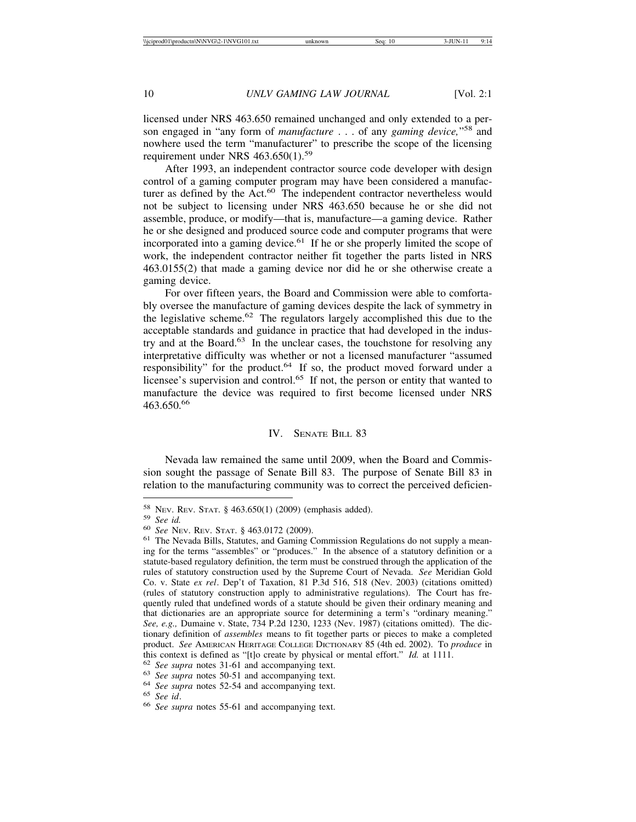licensed under NRS 463.650 remained unchanged and only extended to a person engaged in "any form of *manufacture* . . . of any *gaming device,*"58 and nowhere used the term "manufacturer" to prescribe the scope of the licensing requirement under NRS  $463.650(1).^{59}$ 

After 1993, an independent contractor source code developer with design control of a gaming computer program may have been considered a manufacturer as defined by the Act.<sup>60</sup> The independent contractor nevertheless would not be subject to licensing under NRS 463.650 because he or she did not assemble, produce, or modify—that is, manufacture—a gaming device. Rather he or she designed and produced source code and computer programs that were incorporated into a gaming device.<sup>61</sup> If he or she properly limited the scope of work, the independent contractor neither fit together the parts listed in NRS 463.0155(2) that made a gaming device nor did he or she otherwise create a gaming device.

For over fifteen years, the Board and Commission were able to comfortably oversee the manufacture of gaming devices despite the lack of symmetry in the legislative scheme. $62$  The regulators largely accomplished this due to the acceptable standards and guidance in practice that had developed in the industry and at the Board. $63$  In the unclear cases, the touchstone for resolving any interpretative difficulty was whether or not a licensed manufacturer "assumed responsibility" for the product.64 If so, the product moved forward under a licensee's supervision and control.<sup>65</sup> If not, the person or entity that wanted to manufacture the device was required to first become licensed under NRS 463.650.<sup>66</sup>

#### IV. SENATE BILL 83

Nevada law remained the same until 2009, when the Board and Commission sought the passage of Senate Bill 83. The purpose of Senate Bill 83 in relation to the manufacturing community was to correct the perceived deficien-

<sup>58</sup> NEV. REV. STAT. § 463.650(1) (2009) (emphasis added).<br><sup>59</sup> *See id.* 60 *See* NEV. REV. STAT. § 463.0172 (2009).<br><sup>61</sup> The Nevada Bills, Statutes, and Gaming Commission Regulations do not supply a meaning for the terms "assembles" or "produces." In the absence of a statutory definition or a statute-based regulatory definition, the term must be construed through the application of the rules of statutory construction used by the Supreme Court of Nevada. *See* Meridian Gold Co. v. State *ex rel*. Dep't of Taxation, 81 P.3d 516, 518 (Nev. 2003) (citations omitted) (rules of statutory construction apply to administrative regulations). The Court has frequently ruled that undefined words of a statute should be given their ordinary meaning and that dictionaries are an appropriate source for determining a term's "ordinary meaning." *See, e.g.,* Dumaine v. State, 734 P.2d 1230, 1233 (Nev. 1987) (citations omitted). The dictionary definition of *assembles* means to fit together parts or pieces to make a completed product. *See* AMERICAN HERITAGE COLLEGE DICTIONARY 85 (4th ed. 2002). To *produce* in this context is defined as "[t]o create by physical or mental effort." *Id.* at 1111.<br>
<sup>62</sup> See supra notes 31-61 and accompanying text.<br>
<sup>63</sup> See supra notes 50-51 and accompanying text.<br>
<sup>64</sup> See supra notes 52-54 and a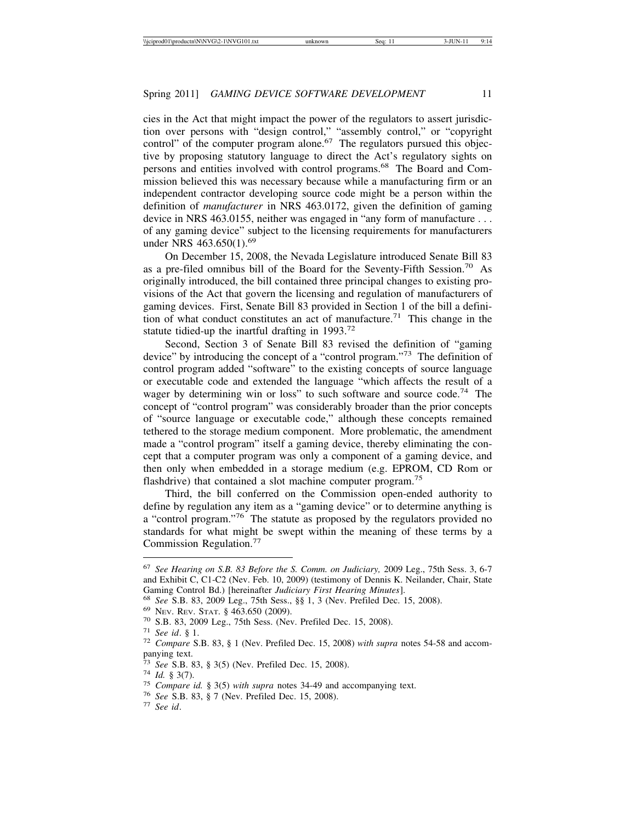cies in the Act that might impact the power of the regulators to assert jurisdiction over persons with "design control," "assembly control," or "copyright control" of the computer program alone.<sup>67</sup> The regulators pursued this objective by proposing statutory language to direct the Act's regulatory sights on persons and entities involved with control programs.68 The Board and Commission believed this was necessary because while a manufacturing firm or an independent contractor developing source code might be a person within the definition of *manufacturer* in NRS 463.0172, given the definition of gaming device in NRS 463.0155, neither was engaged in "any form of manufacture . . . of any gaming device" subject to the licensing requirements for manufacturers under NRS 463.650(1).<sup>69</sup>

On December 15, 2008, the Nevada Legislature introduced Senate Bill 83 as a pre-filed omnibus bill of the Board for the Seventy-Fifth Session.70 As originally introduced, the bill contained three principal changes to existing provisions of the Act that govern the licensing and regulation of manufacturers of gaming devices. First, Senate Bill 83 provided in Section 1 of the bill a definition of what conduct constitutes an act of manufacture.<sup>71</sup> This change in the statute tidied-up the inartful drafting in  $1993.^{72}$ 

Second, Section 3 of Senate Bill 83 revised the definition of "gaming device" by introducing the concept of a "control program."73 The definition of control program added "software" to the existing concepts of source language or executable code and extended the language "which affects the result of a wager by determining win or loss" to such software and source code.<sup>74</sup> The concept of "control program" was considerably broader than the prior concepts of "source language or executable code," although these concepts remained tethered to the storage medium component. More problematic, the amendment made a "control program" itself a gaming device, thereby eliminating the concept that a computer program was only a component of a gaming device, and then only when embedded in a storage medium (e.g. EPROM, CD Rom or flashdrive) that contained a slot machine computer program.<sup>75</sup>

Third, the bill conferred on the Commission open-ended authority to define by regulation any item as a "gaming device" or to determine anything is a "control program."76 The statute as proposed by the regulators provided no standards for what might be swept within the meaning of these terms by a Commission Regulation.<sup>77</sup>

<sup>67</sup> *See Hearing on S.B. 83 Before the S. Comm. on Judiciary,* 2009 Leg., 75th Sess. 3, 6-7 and Exhibit C, C1-C2 (Nev. Feb. 10, 2009) (testimony of Dennis K. Neilander, Chair, State Gaming Control Bd.) [hereinafter *Judiciary First Hearing Minutes*].<br>
<sup>68</sup> *See* S.B. 83, 2009 Leg., 75th Sess., §§ 1, 3 (Nev. Prefiled Dec. 15, 2008).<br>
<sup>69</sup> Nev. Rev. STAT. § 463.650 (2009).<br>
<sup>70</sup> S.B. 83, 2009 Leg., 75th

panying text.<br><sup>73</sup> See S.B. 83, § 3(5) (Nev. Prefiled Dec. 15, 2008).

<sup>&</sup>lt;sup>74</sup> *Id.* § 3(7).<br><sup>75</sup> *Compare id.* § 3(5) *with supra* notes 34-49 and accompanying text.<br><sup>76</sup> *See* S.B. 83, § 7 (Nev. Prefiled Dec. 15, 2008).<br><sup>77</sup> *See id.*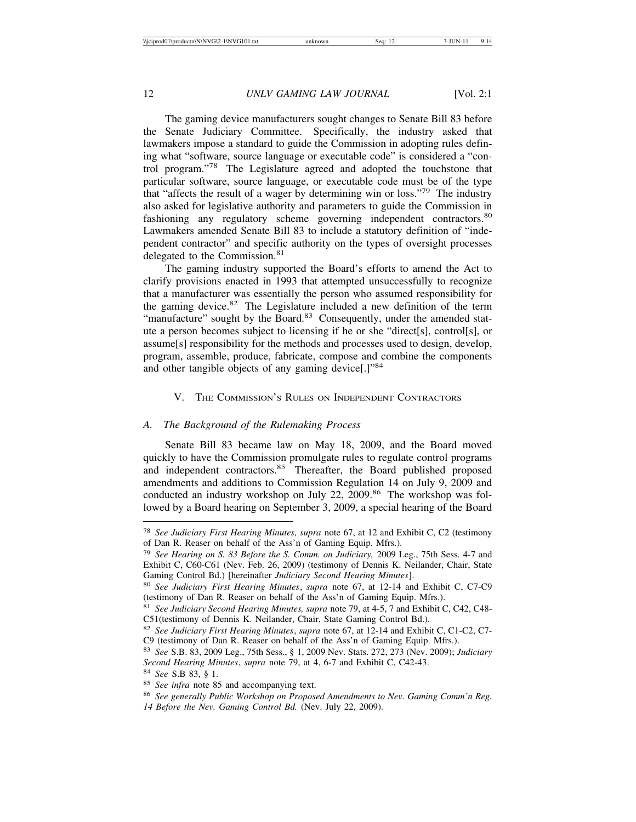The gaming device manufacturers sought changes to Senate Bill 83 before the Senate Judiciary Committee. Specifically, the industry asked that lawmakers impose a standard to guide the Commission in adopting rules defining what "software, source language or executable code" is considered a "control program."78 The Legislature agreed and adopted the touchstone that particular software, source language, or executable code must be of the type that "affects the result of a wager by determining win or loss."79 The industry also asked for legislative authority and parameters to guide the Commission in fashioning any regulatory scheme governing independent contractors.<sup>80</sup> Lawmakers amended Senate Bill 83 to include a statutory definition of "independent contractor" and specific authority on the types of oversight processes delegated to the Commission.<sup>81</sup>

The gaming industry supported the Board's efforts to amend the Act to clarify provisions enacted in 1993 that attempted unsuccessfully to recognize that a manufacturer was essentially the person who assumed responsibility for the gaming device. $82$  The Legislature included a new definition of the term "manufacture" sought by the Board.<sup>83</sup> Consequently, under the amended statute a person becomes subject to licensing if he or she "direct[s], control[s], or assume[s] responsibility for the methods and processes used to design, develop, program, assemble, produce, fabricate, compose and combine the components and other tangible objects of any gaming device[.]"<sup>84</sup>

# V. THE COMMISSION'S RULES ON INDEPENDENT CONTRACTORS

#### *A. The Background of the Rulemaking Process*

Senate Bill 83 became law on May 18, 2009, and the Board moved quickly to have the Commission promulgate rules to regulate control programs and independent contractors.<sup>85</sup> Thereafter, the Board published proposed amendments and additions to Commission Regulation 14 on July 9, 2009 and conducted an industry workshop on July 22, 2009.<sup>86</sup> The workshop was followed by a Board hearing on September 3, 2009, a special hearing of the Board

<sup>78</sup> *See Judiciary First Hearing Minutes, supra* note 67, at 12 and Exhibit C, C2 (testimony of Dan R. Reaser on behalf of the Ass'n of Gaming Equip. Mfrs.).

<sup>79</sup> *See Hearing on S. 83 Before the S. Comm. on Judiciary,* 2009 Leg., 75th Sess. 4-7 and Exhibit C, C60-C61 (Nev. Feb. 26, 2009) (testimony of Dennis K. Neilander, Chair, State Gaming Control Bd.) [hereinafter *Judiciary Second Hearing Minutes*].

<sup>80</sup> *See Judiciary First Hearing Minutes*, *supra* note 67, at 12-14 and Exhibit C, C7-C9 (testimony of Dan R. Reaser on behalf of the Ass'n of Gaming Equip. Mfrs.).

<sup>81</sup> *See Judiciary Second Hearing Minutes, supra* note 79, at 4-5, 7 and Exhibit C, C42, C48- C51(testimony of Dennis K. Neilander, Chair, State Gaming Control Bd.).

<sup>82</sup> *See Judiciary First Hearing Minutes*, *supra* note 67, at 12-14 and Exhibit C, C1-C2, C7- C9 (testimony of Dan R. Reaser on behalf of the Ass'n of Gaming Equip. Mfrs.).

<sup>83</sup> *See* S.B. 83, 2009 Leg., 75th Sess., § 1, 2009 Nev. Stats. 272, 273 (Nev. 2009); *Judiciary Second Hearing Minutes*, *supra* note 79, at 4, 6-7 and Exhibit C, C42-43.

<sup>84</sup> *See* S.B 83, § 1.

<sup>85</sup> *See infra* note 85 and accompanying text.

<sup>86</sup> *See generally Public Workshop on Proposed Amendments to Nev. Gaming Comm'n Reg.*

*<sup>14</sup> Before the Nev. Gaming Control Bd.* (Nev. July 22, 2009).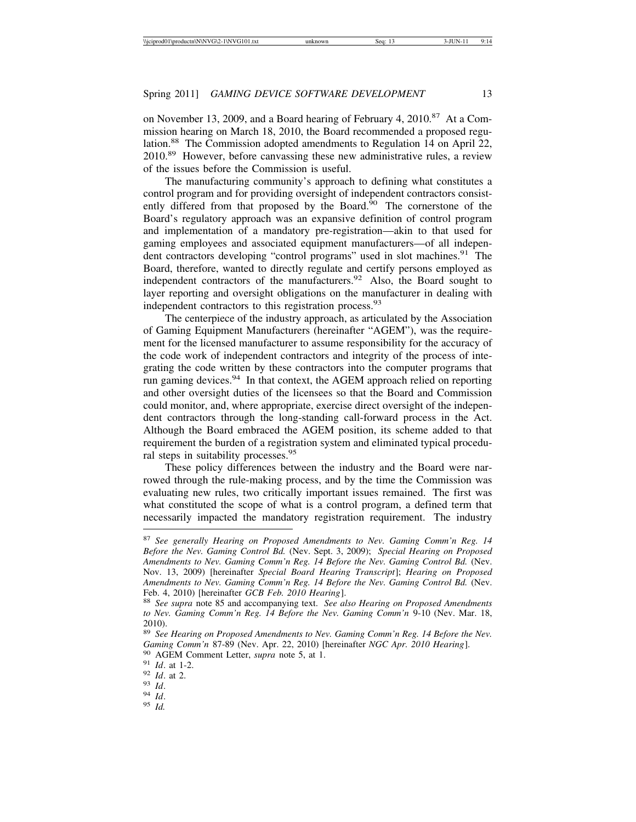on November 13, 2009, and a Board hearing of February 4, 2010.<sup>87</sup> At a Commission hearing on March 18, 2010, the Board recommended a proposed regulation.<sup>88</sup> The Commission adopted amendments to Regulation 14 on April 22, 2010.89 However, before canvassing these new administrative rules, a review of the issues before the Commission is useful.

The manufacturing community's approach to defining what constitutes a control program and for providing oversight of independent contractors consistently differed from that proposed by the Board. $90$  The cornerstone of the Board's regulatory approach was an expansive definition of control program and implementation of a mandatory pre-registration—akin to that used for gaming employees and associated equipment manufacturers—of all independent contractors developing "control programs" used in slot machines.<sup>91</sup> The Board, therefore, wanted to directly regulate and certify persons employed as independent contractors of the manufacturers. $92$  Also, the Board sought to layer reporting and oversight obligations on the manufacturer in dealing with independent contractors to this registration process.<sup>93</sup>

The centerpiece of the industry approach, as articulated by the Association of Gaming Equipment Manufacturers (hereinafter "AGEM"), was the requirement for the licensed manufacturer to assume responsibility for the accuracy of the code work of independent contractors and integrity of the process of integrating the code written by these contractors into the computer programs that run gaming devices.<sup>94</sup> In that context, the AGEM approach relied on reporting and other oversight duties of the licensees so that the Board and Commission could monitor, and, where appropriate, exercise direct oversight of the independent contractors through the long-standing call-forward process in the Act. Although the Board embraced the AGEM position, its scheme added to that requirement the burden of a registration system and eliminated typical procedural steps in suitability processes.<sup>95</sup>

These policy differences between the industry and the Board were narrowed through the rule-making process, and by the time the Commission was evaluating new rules, two critically important issues remained. The first was what constituted the scope of what is a control program, a defined term that necessarily impacted the mandatory registration requirement. The industry

<sup>87</sup> *See generally Hearing on Proposed Amendments to Nev. Gaming Comm'n Reg. 14 Before the Nev. Gaming Control Bd.* (Nev. Sept. 3, 2009); *Special Hearing on Proposed Amendments to Nev. Gaming Comm'n Reg. 14 Before the Nev. Gaming Control Bd.* (Nev. Nov. 13, 2009) [hereinafter *Special Board Hearing Transcript*]; *Hearing on Proposed Amendments to Nev. Gaming Comm'n Reg. 14 Before the Nev. Gaming Control Bd.* (Nev.

Feb. 4, 2010) [hereinafter *GCB Feb. 2010 Hearing*]. <sup>88</sup> *See supra* note 85 and accompanying text. *See also Hearing on Proposed Amendments to Nev. Gaming Comm'n Reg. 14 Before the Nev. Gaming Comm'n* 9-10 (Nev. Mar. 18, 2010).

<sup>89</sup> *See Hearing on Proposed Amendments to Nev. Gaming Comm'n Reg. 14 Before the Nev.* Gaming Comm'n 87-89 (Nev. Apr. 22, 2010) [hereinafter NGC Apr. 2010 Hearing].<br>
<sup>90</sup> AGEM Comment Letter, *supra* note 5, at 1.<br>
<sup>91</sup> Id. at 1-2.<br>
<sup>92</sup> Id. at 2.<br>
<sup>93</sup> Id.<br>
<sup>94</sup> Id.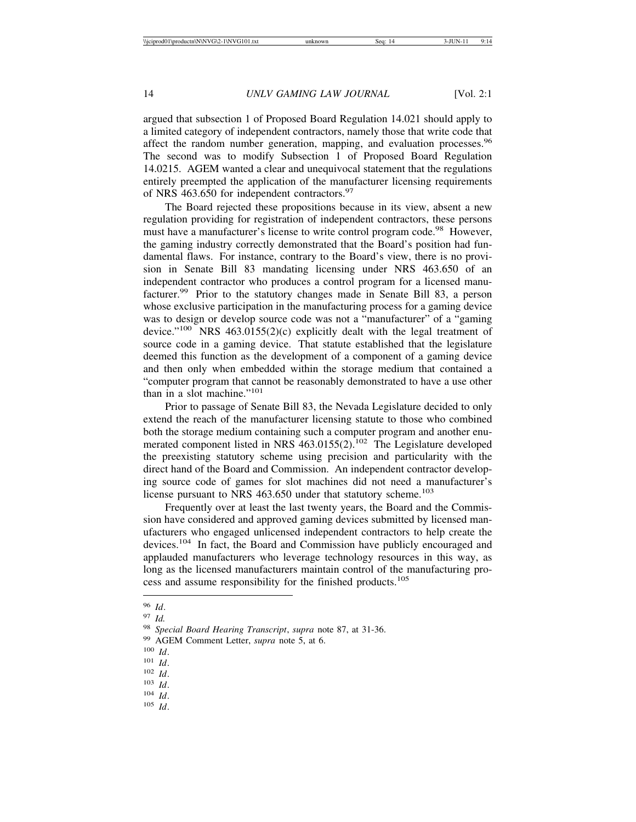argued that subsection 1 of Proposed Board Regulation 14.021 should apply to a limited category of independent contractors, namely those that write code that affect the random number generation, mapping, and evaluation processes.<sup>96</sup> The second was to modify Subsection 1 of Proposed Board Regulation 14.0215. AGEM wanted a clear and unequivocal statement that the regulations entirely preempted the application of the manufacturer licensing requirements of NRS 463.650 for independent contractors.<sup>97</sup>

The Board rejected these propositions because in its view, absent a new regulation providing for registration of independent contractors, these persons must have a manufacturer's license to write control program code.<sup>98</sup> However, the gaming industry correctly demonstrated that the Board's position had fundamental flaws. For instance, contrary to the Board's view, there is no provision in Senate Bill 83 mandating licensing under NRS 463.650 of an independent contractor who produces a control program for a licensed manufacturer.<sup>99</sup> Prior to the statutory changes made in Senate Bill 83, a person whose exclusive participation in the manufacturing process for a gaming device was to design or develop source code was not a "manufacturer" of a "gaming device."<sup>100</sup> NRS 463.0155(2)(c) explicitly dealt with the legal treatment of source code in a gaming device. That statute established that the legislature deemed this function as the development of a component of a gaming device and then only when embedded within the storage medium that contained a "computer program that cannot be reasonably demonstrated to have a use other than in a slot machine."<sup>101</sup>

Prior to passage of Senate Bill 83, the Nevada Legislature decided to only extend the reach of the manufacturer licensing statute to those who combined both the storage medium containing such a computer program and another enumerated component listed in NRS  $463.0155(2)$ .<sup>102</sup> The Legislature developed the preexisting statutory scheme using precision and particularity with the direct hand of the Board and Commission. An independent contractor developing source code of games for slot machines did not need a manufacturer's license pursuant to NRS 463.650 under that statutory scheme.<sup>103</sup>

Frequently over at least the last twenty years, the Board and the Commission have considered and approved gaming devices submitted by licensed manufacturers who engaged unlicensed independent contractors to help create the devices.104 In fact, the Board and Commission have publicly encouraged and applauded manufacturers who leverage technology resources in this way, as long as the licensed manufacturers maintain control of the manufacturing process and assume responsibility for the finished products.<sup>105</sup>

<sup>96</sup> *Id*.

<sup>97</sup> *Id.*

<sup>98</sup> *Special Board Hearing Transcript*, *supra* note 87, at 31-36.

<sup>99</sup> AGEM Comment Letter, *supra* note 5, at 6.

<sup>100</sup> *Id*.

<sup>101</sup> *Id*.

<sup>102</sup> *Id*.

<sup>103</sup> *Id*.

<sup>104</sup> *Id*.

<sup>105</sup> *Id*.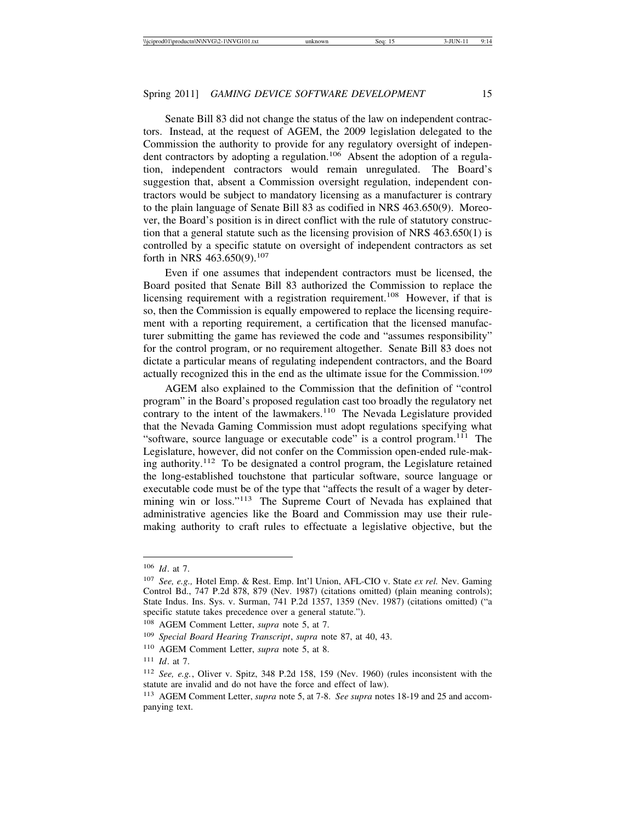Senate Bill 83 did not change the status of the law on independent contractors. Instead, at the request of AGEM, the 2009 legislation delegated to the Commission the authority to provide for any regulatory oversight of independent contractors by adopting a regulation.<sup>106</sup> Absent the adoption of a regulation, independent contractors would remain unregulated. The Board's suggestion that, absent a Commission oversight regulation, independent contractors would be subject to mandatory licensing as a manufacturer is contrary to the plain language of Senate Bill 83 as codified in NRS 463.650(9). Moreover, the Board's position is in direct conflict with the rule of statutory construction that a general statute such as the licensing provision of NRS 463.650(1) is controlled by a specific statute on oversight of independent contractors as set forth in NRS 463.650(9).<sup>107</sup>

Even if one assumes that independent contractors must be licensed, the Board posited that Senate Bill 83 authorized the Commission to replace the licensing requirement with a registration requirement.<sup>108</sup> However, if that is so, then the Commission is equally empowered to replace the licensing requirement with a reporting requirement, a certification that the licensed manufacturer submitting the game has reviewed the code and "assumes responsibility" for the control program, or no requirement altogether. Senate Bill 83 does not dictate a particular means of regulating independent contractors, and the Board actually recognized this in the end as the ultimate issue for the Commission.<sup>109</sup>

AGEM also explained to the Commission that the definition of "control program" in the Board's proposed regulation cast too broadly the regulatory net contrary to the intent of the lawmakers.<sup>110</sup> The Nevada Legislature provided that the Nevada Gaming Commission must adopt regulations specifying what "software, source language or executable code" is a control program.<sup>111</sup> The Legislature, however, did not confer on the Commission open-ended rule-making authority.<sup>112</sup> To be designated a control program, the Legislature retained the long-established touchstone that particular software, source language or executable code must be of the type that "affects the result of a wager by determining win or loss."113 The Supreme Court of Nevada has explained that administrative agencies like the Board and Commission may use their rulemaking authority to craft rules to effectuate a legislative objective, but the

<sup>106</sup> *Id*. at 7.

<sup>107</sup> *See, e.g.,* Hotel Emp. & Rest. Emp. Int'l Union, AFL-CIO v. State *ex rel.* Nev. Gaming Control Bd., 747 P.2d 878, 879 (Nev. 1987) (citations omitted) (plain meaning controls); State Indus. Ins. Sys. v. Surman, 741 P.2d 1357, 1359 (Nev. 1987) (citations omitted) ("a specific statute takes precedence over a general statute.").

<sup>108</sup> AGEM Comment Letter, *supra* note 5, at 7.

<sup>109</sup> *Special Board Hearing Transcript*, *supra* note 87, at 40, 43.

<sup>110</sup> AGEM Comment Letter, *supra* note 5, at 8.

<sup>111</sup> *Id*. at 7.

<sup>112</sup> *See, e.g.*, Oliver v. Spitz, 348 P.2d 158, 159 (Nev. 1960) (rules inconsistent with the statute are invalid and do not have the force and effect of law).

<sup>113</sup> AGEM Comment Letter, *supra* note 5, at 7-8. *See supra* notes 18-19 and 25 and accompanying text.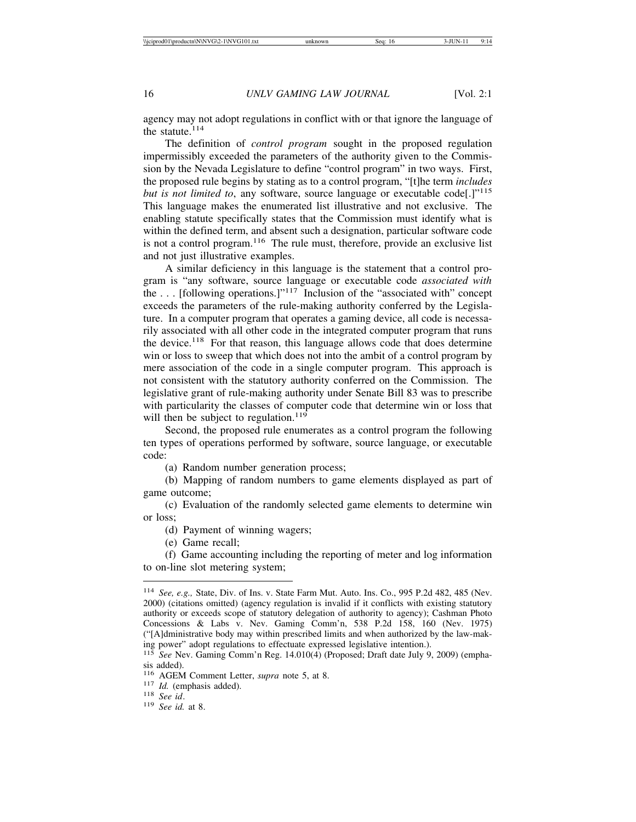agency may not adopt regulations in conflict with or that ignore the language of the statute.<sup>114</sup>

The definition of *control program* sought in the proposed regulation impermissibly exceeded the parameters of the authority given to the Commission by the Nevada Legislature to define "control program" in two ways. First, the proposed rule begins by stating as to a control program, "[t]he term *includes but is not limited to*, any software, source language or executable code<sup>[1]</sup><sup>115</sup> This language makes the enumerated list illustrative and not exclusive. The enabling statute specifically states that the Commission must identify what is within the defined term, and absent such a designation, particular software code is not a control program.<sup>116</sup> The rule must, therefore, provide an exclusive list and not just illustrative examples.

A similar deficiency in this language is the statement that a control program is "any software, source language or executable code *associated with* the  $\dots$  [following operations.]"<sup>117</sup> Inclusion of the "associated with" concept exceeds the parameters of the rule-making authority conferred by the Legislature. In a computer program that operates a gaming device, all code is necessarily associated with all other code in the integrated computer program that runs the device.<sup>118</sup> For that reason, this language allows code that does determine win or loss to sweep that which does not into the ambit of a control program by mere association of the code in a single computer program. This approach is not consistent with the statutory authority conferred on the Commission. The legislative grant of rule-making authority under Senate Bill 83 was to prescribe with particularity the classes of computer code that determine win or loss that will then be subject to regulation.<sup>119</sup>

Second, the proposed rule enumerates as a control program the following ten types of operations performed by software, source language, or executable code:

(a) Random number generation process;

(b) Mapping of random numbers to game elements displayed as part of game outcome;

(c) Evaluation of the randomly selected game elements to determine win or loss;

(d) Payment of winning wagers;

(e) Game recall;

(f) Game accounting including the reporting of meter and log information to on-line slot metering system;

<sup>114</sup> *See, e.g.,* State, Div. of Ins. v. State Farm Mut. Auto. Ins. Co., 995 P.2d 482, 485 (Nev. 2000) (citations omitted) (agency regulation is invalid if it conflicts with existing statutory authority or exceeds scope of statutory delegation of authority to agency); Cashman Photo Concessions & Labs v. Nev. Gaming Comm'n, 538 P.2d 158, 160 (Nev. 1975) ("[A]dministrative body may within prescribed limits and when authorized by the law-making power" adopt regulations to effectuate expressed legislative intention.).

<sup>115</sup> *See* Nev. Gaming Comm'n Reg. 14.010(4) (Proposed; Draft date July 9, 2009) (emphasis added).

<sup>116</sup> AGEM Comment Letter, *supra* note 5, at 8. <sup>117</sup> *Id.* (emphasis added). <sup>118</sup> *See id*. <sup>119</sup> *See id.* at 8.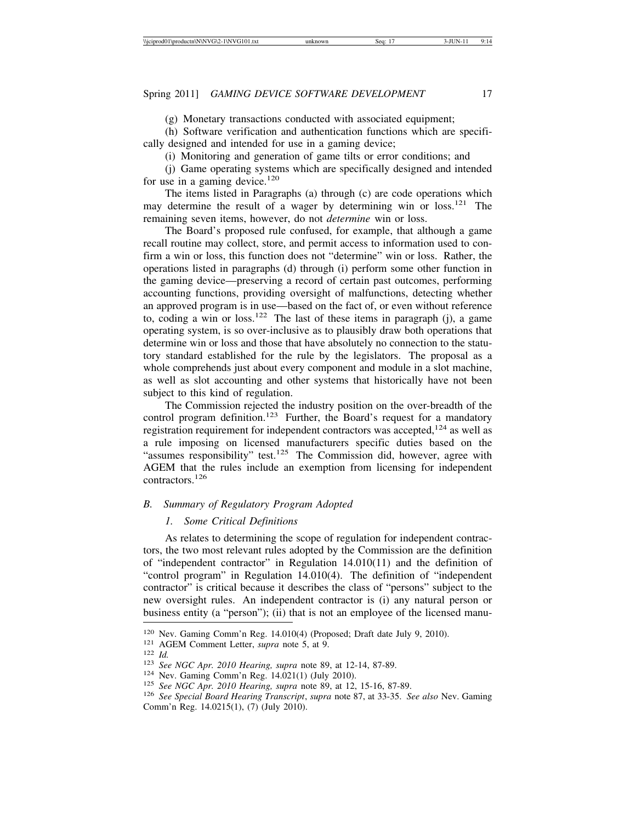(g) Monetary transactions conducted with associated equipment;

(h) Software verification and authentication functions which are specifically designed and intended for use in a gaming device;

(i) Monitoring and generation of game tilts or error conditions; and

(j) Game operating systems which are specifically designed and intended for use in a gaming device.<sup>120</sup>

The items listed in Paragraphs (a) through (c) are code operations which may determine the result of a wager by determining win or loss.<sup>121</sup> The remaining seven items, however, do not *determine* win or loss.

The Board's proposed rule confused, for example, that although a game recall routine may collect, store, and permit access to information used to confirm a win or loss, this function does not "determine" win or loss. Rather, the operations listed in paragraphs (d) through (i) perform some other function in the gaming device—preserving a record of certain past outcomes, performing accounting functions, providing oversight of malfunctions, detecting whether an approved program is in use—based on the fact of, or even without reference to, coding a win or loss.<sup>122</sup> The last of these items in paragraph (j), a game operating system, is so over-inclusive as to plausibly draw both operations that determine win or loss and those that have absolutely no connection to the statutory standard established for the rule by the legislators. The proposal as a whole comprehends just about every component and module in a slot machine, as well as slot accounting and other systems that historically have not been subject to this kind of regulation.

The Commission rejected the industry position on the over-breadth of the control program definition.<sup>123</sup> Further, the Board's request for a mandatory registration requirement for independent contractors was accepted,  $124$  as well as a rule imposing on licensed manufacturers specific duties based on the "assumes responsibility" test.<sup>125</sup> The Commission did, however, agree with AGEM that the rules include an exemption from licensing for independent contractors.126

## *B. Summary of Regulatory Program Adopted*

## *1. Some Critical Definitions*

As relates to determining the scope of regulation for independent contractors, the two most relevant rules adopted by the Commission are the definition of "independent contractor" in Regulation 14.010(11) and the definition of "control program" in Regulation 14.010(4). The definition of "independent contractor" is critical because it describes the class of "persons" subject to the new oversight rules. An independent contractor is (i) any natural person or business entity (a "person"); (ii) that is not an employee of the licensed manu-

<sup>&</sup>lt;sup>120</sup> Nev. Gaming Comm'n Reg. 14.010(4) (Proposed; Draft date July 9, 2010).<br><sup>121</sup> AGEM Comment Letter, *supra* note 5, at 9.<br><sup>122</sup> Id.<br><sup>123</sup> See NGC Apr. 2010 Hearing, *supra* note 89, at 12-14, 87-89.<br><sup>124</sup> Nev. Gaming Comm'n Reg. 14.0215(1), (7) (July 2010).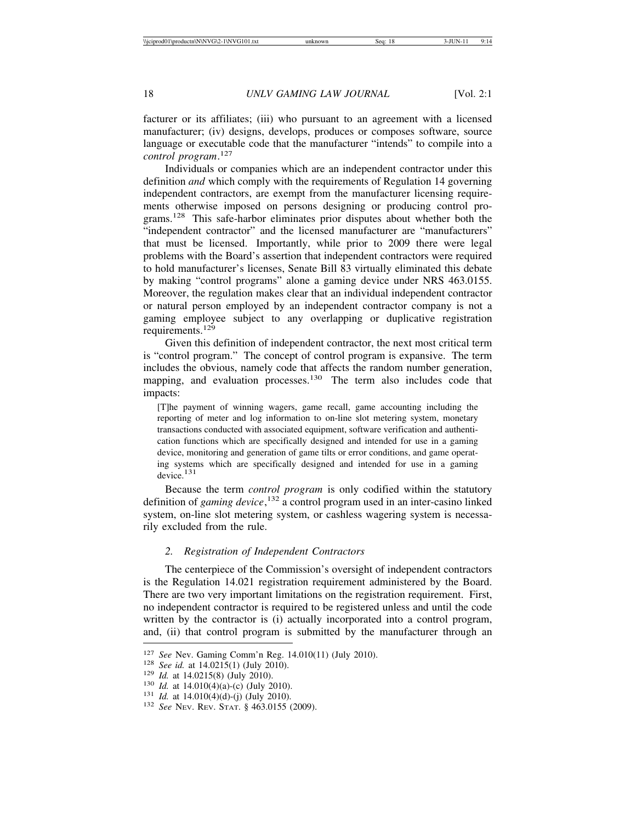facturer or its affiliates; (iii) who pursuant to an agreement with a licensed manufacturer; (iv) designs, develops, produces or composes software, source language or executable code that the manufacturer "intends" to compile into a *control program*. 127

Individuals or companies which are an independent contractor under this definition *and* which comply with the requirements of Regulation 14 governing independent contractors, are exempt from the manufacturer licensing requirements otherwise imposed on persons designing or producing control programs.<sup>128</sup> This safe-harbor eliminates prior disputes about whether both the "independent contractor" and the licensed manufacturer are "manufacturers" that must be licensed. Importantly, while prior to 2009 there were legal problems with the Board's assertion that independent contractors were required to hold manufacturer's licenses, Senate Bill 83 virtually eliminated this debate by making "control programs" alone a gaming device under NRS 463.0155. Moreover, the regulation makes clear that an individual independent contractor or natural person employed by an independent contractor company is not a gaming employee subject to any overlapping or duplicative registration requirements.<sup>129</sup>

Given this definition of independent contractor, the next most critical term is "control program." The concept of control program is expansive. The term includes the obvious, namely code that affects the random number generation, mapping, and evaluation processes.<sup>130</sup> The term also includes code that impacts:

[T]he payment of winning wagers, game recall, game accounting including the reporting of meter and log information to on-line slot metering system, monetary transactions conducted with associated equipment, software verification and authentication functions which are specifically designed and intended for use in a gaming device, monitoring and generation of game tilts or error conditions, and game operating systems which are specifically designed and intended for use in a gaming device.<sup>131</sup>

Because the term *control program* is only codified within the statutory definition of *gaming device*, 132 a control program used in an inter-casino linked system, on-line slot metering system, or cashless wagering system is necessarily excluded from the rule.

## *2. Registration of Independent Contractors*

The centerpiece of the Commission's oversight of independent contractors is the Regulation 14.021 registration requirement administered by the Board. There are two very important limitations on the registration requirement. First, no independent contractor is required to be registered unless and until the code written by the contractor is (i) actually incorporated into a control program, and, (ii) that control program is submitted by the manufacturer through an

<sup>&</sup>lt;sup>127</sup> *See* Nev. Gaming Comm'n Reg. 14.010(11) (July 2010).<br>
<sup>128</sup> *See id.* at 14.0215(1) (July 2010).<br>
<sup>129</sup> *Id.* at 14.0215(8) (July 2010).<br>
<sup>130</sup> *Id.* at 14.010(4)(a)-(c) (July 2010).<br>
<sup>131</sup> *Id.* at 14.010(4)(d)-(j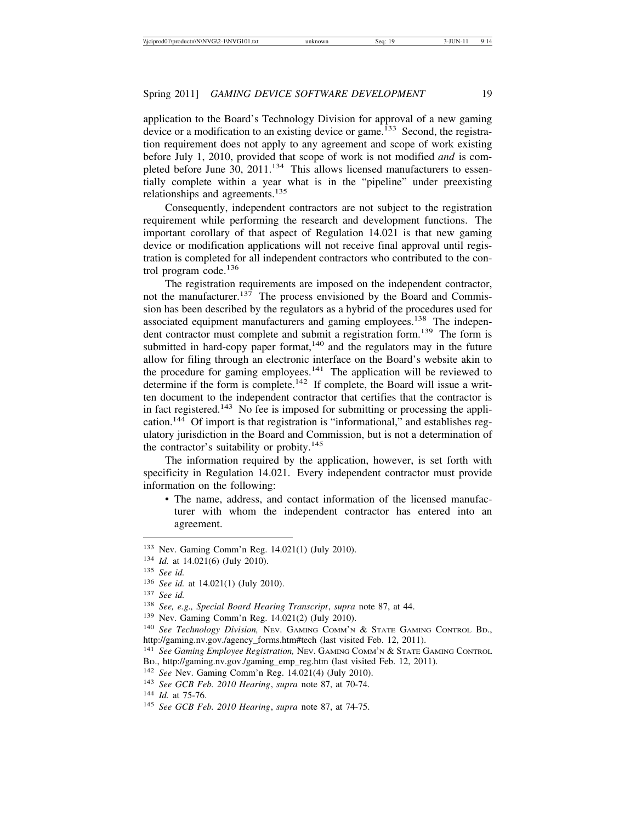application to the Board's Technology Division for approval of a new gaming device or a modification to an existing device or game.<sup>133</sup> Second, the registration requirement does not apply to any agreement and scope of work existing before July 1, 2010, provided that scope of work is not modified *and* is completed before June 30, 2011.<sup>134</sup> This allows licensed manufacturers to essentially complete within a year what is in the "pipeline" under preexisting relationships and agreements.<sup>135</sup>

Consequently, independent contractors are not subject to the registration requirement while performing the research and development functions. The important corollary of that aspect of Regulation 14.021 is that new gaming device or modification applications will not receive final approval until registration is completed for all independent contractors who contributed to the control program code.<sup>136</sup>

The registration requirements are imposed on the independent contractor, not the manufacturer.<sup>137</sup> The process envisioned by the Board and Commission has been described by the regulators as a hybrid of the procedures used for associated equipment manufacturers and gaming employees.<sup>138</sup> The independent contractor must complete and submit a registration form.<sup>139</sup> The form is submitted in hard-copy paper format, $140$  and the regulators may in the future allow for filing through an electronic interface on the Board's website akin to the procedure for gaming employees.<sup>141</sup> The application will be reviewed to determine if the form is complete.<sup>142</sup> If complete, the Board will issue a written document to the independent contractor that certifies that the contractor is in fact registered.<sup>143</sup> No fee is imposed for submitting or processing the application.<sup>144</sup> Of import is that registration is "informational," and establishes regulatory jurisdiction in the Board and Commission, but is not a determination of the contractor's suitability or probity.<sup>145</sup>

The information required by the application, however, is set forth with specificity in Regulation 14.021. Every independent contractor must provide information on the following:

• The name, address, and contact information of the licensed manufacturer with whom the independent contractor has entered into an agreement.

<sup>133</sup> Nev. Gaming Comm'n Reg. 14.021(1) (July 2010).

<sup>134</sup> *Id.* at 14.021(6) (July 2010).

<sup>135</sup> *See id.*

<sup>136</sup> *See id.* at 14.021(1) (July 2010).

<sup>137</sup> *See id.*

<sup>138</sup> *See, e.g., Special Board Hearing Transcript*, *supra* note 87, at 44.

<sup>139</sup> Nev. Gaming Comm'n Reg. 14.021(2) (July 2010).

<sup>140</sup> *See Technology Division,* NEV. GAMING COMM'N & STATE GAMING CONTROL BD., http://gaming.nv.gov./agency\_forms.htm#tech (last visited Feb. 12, 2011).

<sup>141</sup> See Gaming Employee Registration, Nev. GAMING COMM'N & STATE GAMING CONTROL BD., http://gaming.nv.gov./gaming\_emp\_reg.htm (last visited Feb. 12, 2011).

<sup>142</sup> *See* Nev. Gaming Comm'n Reg. 14.021(4) (July 2010).

<sup>143</sup> *See GCB Feb. 2010 Hearing*, *supra* note 87, at 70-74.

<sup>144</sup> *Id.* at 75-76.

<sup>145</sup> *See GCB Feb. 2010 Hearing*, *supra* note 87, at 74-75.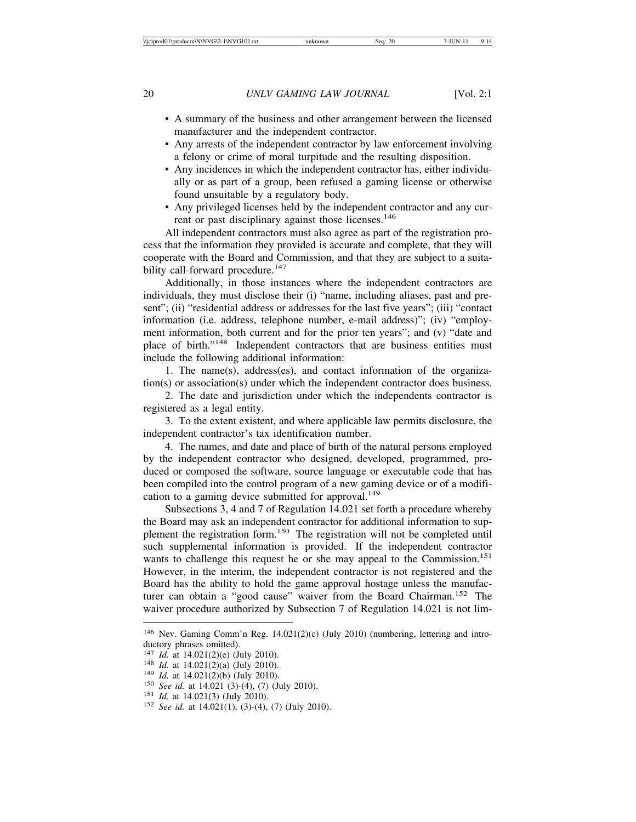- A summary of the business and other arrangement between the licensed manufacturer and the independent contractor.
- Any arrests of the independent contractor by law enforcement involving a felony or crime of moral turpitude and the resulting disposition.
- Any incidences in which the independent contractor has, either individually or as part of a group, been refused a gaming license or otherwise found unsuitable by a regulatory body.
- Any privileged licenses held by the independent contractor and any current or past disciplinary against those licenses.<sup>146</sup>

All independent contractors must also agree as part of the registration process that the information they provided is accurate and complete, that they will cooperate with the Board and Commission, and that they are subject to a suitability call-forward procedure.<sup>147</sup>

Additionally, in those instances where the independent contractors are individuals, they must disclose their (i) "name, including aliases, past and present"; (ii) "residential address or addresses for the last five years"; (iii) "contact information (i.e. address, telephone number, e-mail address)"; (iv) "employment information, both current and for the prior ten years"; and (v) "date and place of birth."148 Independent contractors that are business entities must include the following additional information:

1. The name(s), address(es), and contact information of the organization(s) or association(s) under which the independent contractor does business.

2. The date and jurisdiction under which the independents contractor is registered as a legal entity.

3. To the extent existent, and where applicable law permits disclosure, the independent contractor's tax identification number.

4. The names, and date and place of birth of the natural persons employed by the independent contractor who designed, developed, programmed, produced or composed the software, source language or executable code that has been compiled into the control program of a new gaming device or of a modification to a gaming device submitted for approval.<sup>149</sup>

Subsections 3, 4 and 7 of Regulation 14.021 set forth a procedure whereby the Board may ask an independent contractor for additional information to supplement the registration form.150 The registration will not be completed until such supplemental information is provided. If the independent contractor wants to challenge this request he or she may appeal to the Commission.<sup>151</sup> However, in the interim, the independent contractor is not registered and the Board has the ability to hold the game approval hostage unless the manufacturer can obtain a "good cause" waiver from the Board Chairman.<sup>152</sup> The waiver procedure authorized by Subsection 7 of Regulation 14.021 is not lim-

<sup>146</sup> Nev. Gaming Comm'n Reg. 14.021(2)(c) (July 2010) (numbering, lettering and introductory phrases omitted).<br> $147$  *Id.* at 14.021(2)(e) (July 2010).

<sup>&</sup>lt;sup>148</sup> *Id.* at 14.021(2)(a) (July 2010).<br>
<sup>149</sup> *Id.* at 14.021(2)(b) (July 2010).<br>
<sup>150</sup> *See id.* at 14.021 (3)-(4), (7) (July 2010).<br>
<sup>151</sup> *Id.* at 14.021(3) (July 2010).<br>
<sup>152</sup> *See id.* at 14.021(1), (3)-(4), (7) (J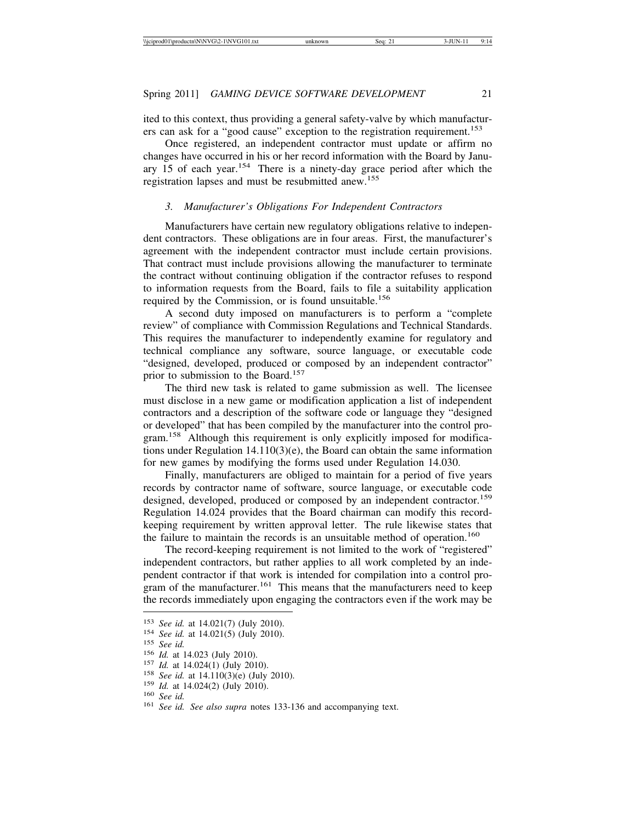ited to this context, thus providing a general safety-valve by which manufacturers can ask for a "good cause" exception to the registration requirement.<sup>153</sup>

Once registered, an independent contractor must update or affirm no changes have occurred in his or her record information with the Board by January  $15$  of each year.<sup>154</sup> There is a ninety-day grace period after which the registration lapses and must be resubmitted anew.<sup>155</sup>

## *3. Manufacturer's Obligations For Independent Contractors*

Manufacturers have certain new regulatory obligations relative to independent contractors. These obligations are in four areas. First, the manufacturer's agreement with the independent contractor must include certain provisions. That contract must include provisions allowing the manufacturer to terminate the contract without continuing obligation if the contractor refuses to respond to information requests from the Board, fails to file a suitability application required by the Commission, or is found unsuitable.<sup>156</sup>

A second duty imposed on manufacturers is to perform a "complete review" of compliance with Commission Regulations and Technical Standards. This requires the manufacturer to independently examine for regulatory and technical compliance any software, source language, or executable code "designed, developed, produced or composed by an independent contractor" prior to submission to the Board.<sup>157</sup>

The third new task is related to game submission as well. The licensee must disclose in a new game or modification application a list of independent contractors and a description of the software code or language they "designed or developed" that has been compiled by the manufacturer into the control program.158 Although this requirement is only explicitly imposed for modifications under Regulation 14.110(3)(e), the Board can obtain the same information for new games by modifying the forms used under Regulation 14.030.

Finally, manufacturers are obliged to maintain for a period of five years records by contractor name of software, source language, or executable code designed, developed, produced or composed by an independent contractor.<sup>159</sup> Regulation 14.024 provides that the Board chairman can modify this recordkeeping requirement by written approval letter. The rule likewise states that the failure to maintain the records is an unsuitable method of operation.<sup>160</sup>

The record-keeping requirement is not limited to the work of "registered" independent contractors, but rather applies to all work completed by an independent contractor if that work is intended for compilation into a control program of the manufacturer.<sup>161</sup> This means that the manufacturers need to keep the records immediately upon engaging the contractors even if the work may be

<sup>&</sup>lt;sup>153</sup> *See id.* at 14.021(7) (July 2010).<br>
<sup>154</sup> *See id.* at 14.021(5) (July 2010).<br>
<sup>155</sup> *See id.*<br>
<sup>156</sup> *Id.* at 14.023 (July 2010).<br>
<sup>157</sup> *Id.* at 14.024(1) (July 2010).<br>
<sup>158</sup> *See id.* at 14.110(3)(e) (July 2010)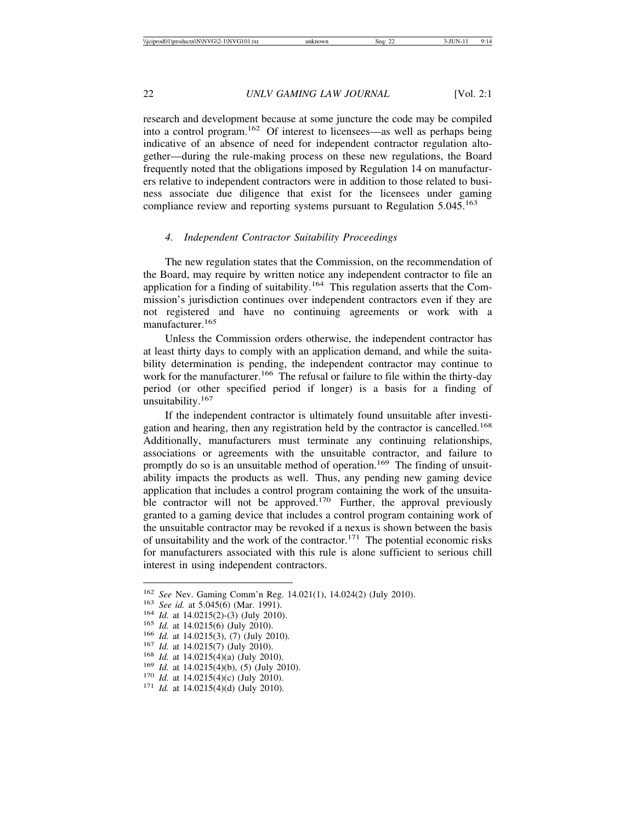research and development because at some juncture the code may be compiled into a control program.162 Of interest to licensees—as well as perhaps being indicative of an absence of need for independent contractor regulation altogether—during the rule-making process on these new regulations, the Board frequently noted that the obligations imposed by Regulation 14 on manufacturers relative to independent contractors were in addition to those related to business associate due diligence that exist for the licensees under gaming compliance review and reporting systems pursuant to Regulation 5.045.<sup>163</sup>

## *4. Independent Contractor Suitability Proceedings*

The new regulation states that the Commission, on the recommendation of the Board, may require by written notice any independent contractor to file an application for a finding of suitability.<sup>164</sup> This regulation asserts that the Commission's jurisdiction continues over independent contractors even if they are not registered and have no continuing agreements or work with a manufacturer.<sup>165</sup>

Unless the Commission orders otherwise, the independent contractor has at least thirty days to comply with an application demand, and while the suitability determination is pending, the independent contractor may continue to work for the manufacturer.<sup>166</sup> The refusal or failure to file within the thirty-day period (or other specified period if longer) is a basis for a finding of unsuitability.<sup>167</sup>

If the independent contractor is ultimately found unsuitable after investigation and hearing, then any registration held by the contractor is cancelled.<sup>168</sup> Additionally, manufacturers must terminate any continuing relationships, associations or agreements with the unsuitable contractor, and failure to promptly do so is an unsuitable method of operation.<sup>169</sup> The finding of unsuitability impacts the products as well. Thus, any pending new gaming device application that includes a control program containing the work of the unsuitable contractor will not be approved.<sup>170</sup> Further, the approval previously granted to a gaming device that includes a control program containing work of the unsuitable contractor may be revoked if a nexus is shown between the basis of unsuitability and the work of the contractor.<sup>171</sup> The potential economic risks for manufacturers associated with this rule is alone sufficient to serious chill interest in using independent contractors.

<sup>&</sup>lt;sup>162</sup> See Nev. Gaming Comm'n Reg. 14.021(1), 14.024(2) (July 2010).<br>
<sup>163</sup> See id. at 5.045(6) (Mar. 1991).<br>
<sup>164</sup> Id. at 14.0215(2)-(3) (July 2010).<br>
<sup>165</sup> Id. at 14.0215(6) (July 2010).<br>
<sup>166</sup> Id. at 14.0215(6) (July 20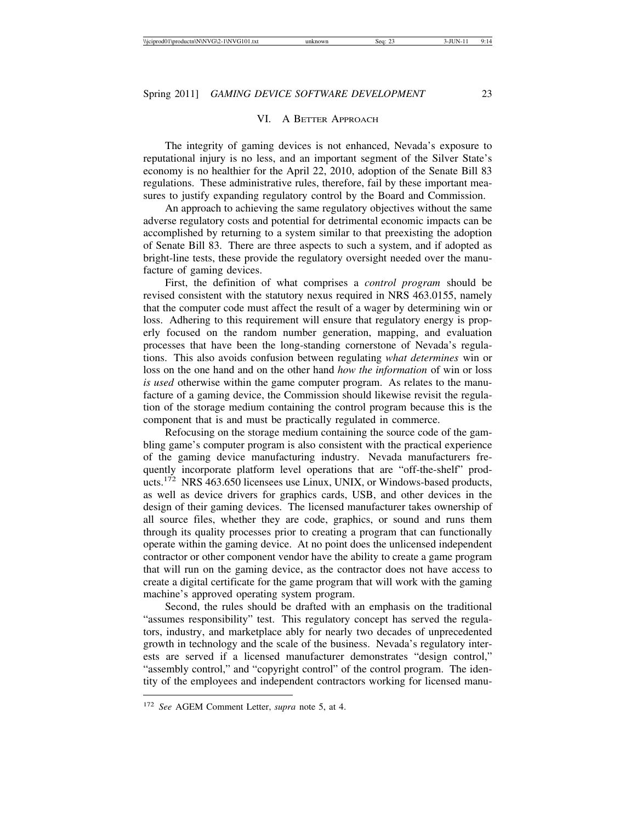## VI. A BETTER APPROACH

The integrity of gaming devices is not enhanced, Nevada's exposure to reputational injury is no less, and an important segment of the Silver State's economy is no healthier for the April 22, 2010, adoption of the Senate Bill 83 regulations. These administrative rules, therefore, fail by these important measures to justify expanding regulatory control by the Board and Commission.

An approach to achieving the same regulatory objectives without the same adverse regulatory costs and potential for detrimental economic impacts can be accomplished by returning to a system similar to that preexisting the adoption of Senate Bill 83. There are three aspects to such a system, and if adopted as bright-line tests, these provide the regulatory oversight needed over the manufacture of gaming devices.

First, the definition of what comprises a *control program* should be revised consistent with the statutory nexus required in NRS 463.0155, namely that the computer code must affect the result of a wager by determining win or loss. Adhering to this requirement will ensure that regulatory energy is properly focused on the random number generation, mapping, and evaluation processes that have been the long-standing cornerstone of Nevada's regulations. This also avoids confusion between regulating *what determines* win or loss on the one hand and on the other hand *how the information* of win or loss *is used* otherwise within the game computer program. As relates to the manufacture of a gaming device, the Commission should likewise revisit the regulation of the storage medium containing the control program because this is the component that is and must be practically regulated in commerce.

Refocusing on the storage medium containing the source code of the gambling game's computer program is also consistent with the practical experience of the gaming device manufacturing industry. Nevada manufacturers frequently incorporate platform level operations that are "off-the-shelf" products.172 NRS 463.650 licensees use Linux, UNIX, or Windows-based products, as well as device drivers for graphics cards, USB, and other devices in the design of their gaming devices. The licensed manufacturer takes ownership of all source files, whether they are code, graphics, or sound and runs them through its quality processes prior to creating a program that can functionally operate within the gaming device. At no point does the unlicensed independent contractor or other component vendor have the ability to create a game program that will run on the gaming device, as the contractor does not have access to create a digital certificate for the game program that will work with the gaming machine's approved operating system program.

Second, the rules should be drafted with an emphasis on the traditional "assumes responsibility" test. This regulatory concept has served the regulators, industry, and marketplace ably for nearly two decades of unprecedented growth in technology and the scale of the business. Nevada's regulatory interests are served if a licensed manufacturer demonstrates "design control," "assembly control," and "copyright control" of the control program. The identity of the employees and independent contractors working for licensed manu-

<sup>172</sup> *See* AGEM Comment Letter, *supra* note 5, at 4.